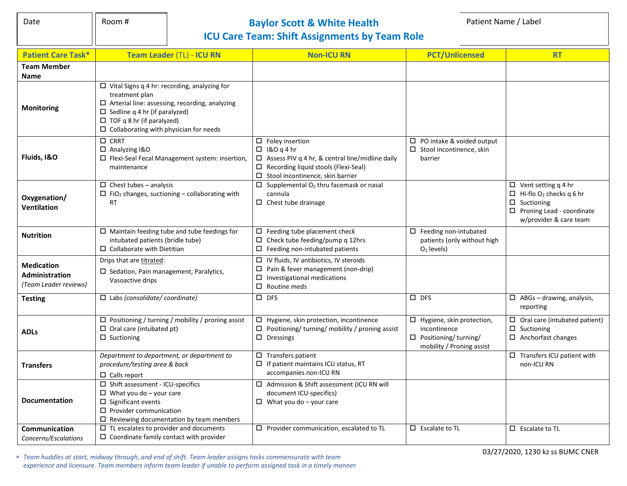## Date **Room #** Room # **Baylor Scott & White Health** Patient Name / Label **Patient Name** / Label **ICU Care Team: Shift Assignments by Team Role**

| <b>Patient Care Task*</b>                                           | Team Leader (TL) - ICU RN                                                                                                                                                                                                                                      | <b>Non-ICU RN</b>                                                                                                                                                                                     | <b>PCT/Unlicensed</b>                                                                                           | <b>RT</b>                                                                                                                                                   |
|---------------------------------------------------------------------|----------------------------------------------------------------------------------------------------------------------------------------------------------------------------------------------------------------------------------------------------------------|-------------------------------------------------------------------------------------------------------------------------------------------------------------------------------------------------------|-----------------------------------------------------------------------------------------------------------------|-------------------------------------------------------------------------------------------------------------------------------------------------------------|
| <b>Team Member</b>                                                  |                                                                                                                                                                                                                                                                |                                                                                                                                                                                                       |                                                                                                                 |                                                                                                                                                             |
| Name                                                                |                                                                                                                                                                                                                                                                |                                                                                                                                                                                                       |                                                                                                                 |                                                                                                                                                             |
| <b>Monitoring</b>                                                   | $\Box$ Vital Signs q 4 hr: recording, analyzing for<br>treatment plan<br>$\Box$ Arterial line: assessing, recording, analyzing<br>$\Box$ Sedline q 4 hr (if paralyzed)<br>$\Box$ TOF q 8 hr (if paralyzed)<br>$\square$ Collaborating with physician for needs |                                                                                                                                                                                                       |                                                                                                                 |                                                                                                                                                             |
| Fluids, I&O                                                         | $\square$ CRRT<br>$\Box$ Analyzing I&O<br>$\square$ Flexi-Seal Fecal Management system: insertion,<br>maintenance                                                                                                                                              | $\square$ Foley insertion<br>$\Box$ 1&O q 4 hr<br>$\Box$ Assess PIV q 4 hr, & central line/midline daily<br>$\Box$ Recording liquid stools (Flexi-Seal)<br>$\square$ Stool incontinence, skin barrier | $\Box$ PO intake & voided output<br>$\Box$ Stool incontinence, skin<br>barrier                                  |                                                                                                                                                             |
| Oxygenation/<br>Ventilation                                         | $\Box$ Chest tubes - analysis<br>$\Box$ FiO <sub>2</sub> changes, suctioning – collaborating with<br><b>RT</b>                                                                                                                                                 | Supplemental O <sub>2</sub> thru facemask or nasal<br>0<br>cannula<br>$\Box$ Chest tube drainage                                                                                                      |                                                                                                                 | $\Box$ Vent setting q 4 hr<br>$\Box$ Hi-flo O <sub>2</sub> checks q 6 hr<br>$\Box$ Suctioning<br>$\Box$ Proning Lead - coordinate<br>w/provider & care team |
| <b>Nutrition</b>                                                    | $\square$ Maintain feeding tube and tube feedings for<br>intubated patients (bridle tube)<br>$\Box$ Collaborate with Dietitian                                                                                                                                 | $\square$ Feeding tube placement check<br>Check tube feeding/pump q 12hrs<br>$\Box$<br>$\square$ Feeding non-intubated patients                                                                       | $\square$ Feeding non-intubated<br>patients (only without high<br>$O2$ levels)                                  |                                                                                                                                                             |
| <b>Medication</b><br><b>Administration</b><br>(Team Leader reviews) | Drips that are titrated:<br>□ Sedation, Pain management, Paralytics,<br>Vasoactive drips                                                                                                                                                                       | $\Box$ IV fluids, IV antibiotics, IV steroids<br>Pain & fever management (non-drip)<br>$\Box$<br>Investigational medications<br>0<br>$\Box$ Routine meds                                              |                                                                                                                 |                                                                                                                                                             |
| <b>Testing</b>                                                      | $\Box$ Labs (consolidate/ coordinate)                                                                                                                                                                                                                          | $\square$ DFS                                                                                                                                                                                         | $\square$ DFS                                                                                                   | $\Box$ ABGs - drawing, analysis,<br>reporting                                                                                                               |
| <b>ADLs</b>                                                         | $\Box$ Positioning / turning / mobility / proning assist<br>$\Box$ Oral care (intubated pt)<br>$\Box$ Suctioning                                                                                                                                               | $\Box$ Hygiene, skin protection, incontinence<br>$\Box$<br>Positioning/ turning/ mobility / proning assist<br>$\square$ Dressings                                                                     | $\Box$ Hygiene, skin protection,<br>incontinence<br>$\square$ Positioning/turning/<br>mobility / Proning assist | $\Box$ Oral care (intubated patient)<br>$\square$ Suctioning<br>$\Box$ Anchorfast changes                                                                   |
| <b>Transfers</b>                                                    | Department to department, or department to<br>procedure/testing area & back<br>$\Box$ Calls report                                                                                                                                                             | $\square$ Transfers patient<br>$\Box$ If patient maintains ICU status, RT<br>accompanies non-ICU RN                                                                                                   |                                                                                                                 | $\overline{\Box}$ Transfers ICU patient with<br>non-ICU RN                                                                                                  |
| <b>Documentation</b>                                                | $\square$ Shift assessment - ICU-specifics<br>$\Box$ What you do - your care<br>$\square$ Significant events<br>$\Box$ Provider communication<br>$\square$ Reviewing documentation by team members                                                             | □ Admission & Shift assessment (ICU RN will<br>document ICU-specifics)<br>$\Box$ What you do - your care                                                                                              |                                                                                                                 |                                                                                                                                                             |
| <b>Communication</b><br>Concerns/Escalations                        | $\square$ TL escalates to provider and documents<br>$\square$ Coordinate family contact with provider                                                                                                                                                          | $\square$ Provider communication, escalated to TL                                                                                                                                                     | $\square$ Escalate to TL                                                                                        | $\square$ Escalate to TL                                                                                                                                    |

 *Team huddles at start, midway through, and end of shift. Team leader assigns tasks commensurate with team experience and licensure. Team members inform team leader if unable to perform assigned task in a timely manner* 03/27/2020, 1230 kz ss BUMC CNER